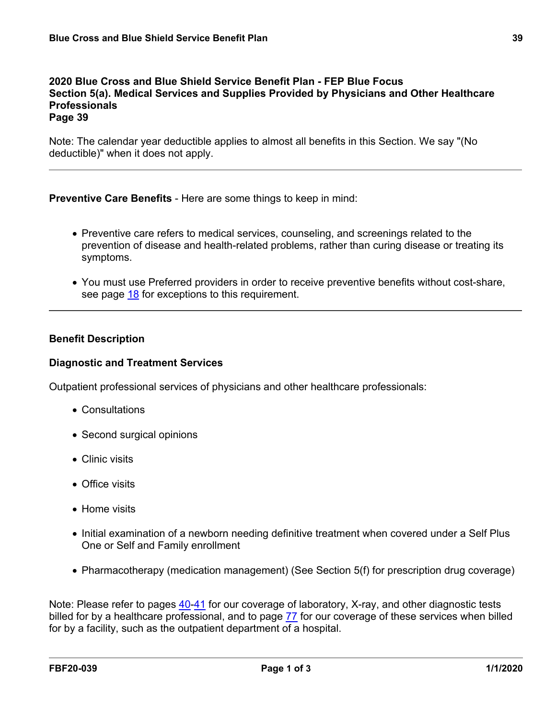Note: The calendar year deductible applies to almost all benefits in this Section. We say "(No deductible)" when it does not apply.

**Preventive Care Benefits** - Here are some things to keep in mind:

- Preventive care refers to medical services, counseling, and screenings related to the prevention of disease and health-related problems, rather than curing disease or treating its symptoms.
- You must use Preferred providers in order to receive preventive benefits without cost-share, see page [18](a8376318-ebd6-421f-be63-acf8c88376a1_43829a2a-3be8-41ac-93ec-1b4517c52bb0.html?v=32493) for exceptions to this requirement.

# **Benefit Description**

## **Diagnostic and Treatment Services**

Outpatient professional services of physicians and other healthcare professionals:

- Consultations
- Second surgical opinions
- Clinic visits
- Office visits
- Home visits
- Initial examination of a newborn needing definitive treatment when covered under a Self Plus One or Self and Family enrollment
- Pharmacotherapy (medication management) (See Section 5(f) for prescription drug coverage)

Note: Please refer to pages [40-](a8376318-ebd6-421f-be63-acf8c88376a1_2ff5f4a7-48cf-4174-a047-bec4bbb9e505.html?v=32493)[41](a8376318-ebd6-421f-be63-acf8c88376a1_43c1b3ad-57b8-4576-9ea0-0e45d22ede41.html?v=32493) for our coverage of laboratory, X-ray, and other diagnostic tests billed for by a healthcare professional, and to page [77](a8376318-ebd6-421f-be63-acf8c88376a1_f87b70f3-dc64-4437-a98e-81f01cecd568.html?v=32493) for our coverage of these services when billed for by a facility, such as the outpatient department of a hospital.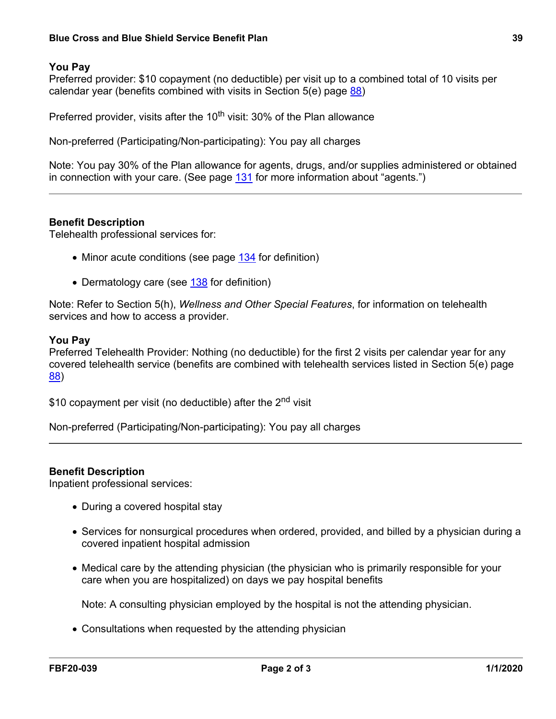## **Blue Cross and Blue Shield Service Benefit Plan 39**

## **You Pay**

Preferred provider: \$10 copayment (no deductible) per visit up to a combined total of 10 visits per calendar year (benefits combined with visits in Section 5(e) page [88\)](a8376318-ebd6-421f-be63-acf8c88376a1_1194d6e7-35b3-4914-973f-66116ecb4e4b.html?v=32493)

Preferred provider, visits after the  $10<sup>th</sup>$  visit: 30% of the Plan allowance

Non-preferred (Participating/Non-participating): You pay all charges

Note: You pay 30% of the Plan allowance for agents, drugs, and/or supplies administered or obtained in connection with your care. (See page [131](a8376318-ebd6-421f-be63-acf8c88376a1_72e6c30c-6a5c-424e-8279-d0f0c4162dd3.html?v=32493) for more information about "agents.")

### **Benefit Description**

Telehealth professional services for:

- Minor acute conditions (see page [134](a8376318-ebd6-421f-be63-acf8c88376a1_8f8ea3a8-9776-4edf-9dd6-55e6a3feb6b8.html?v=32493) for definition)
- Dermatology care (see [138](a8376318-ebd6-421f-be63-acf8c88376a1_a564d797-63ec-4d5d-a140-ce76968e3022.html?v=32493) for definition)

Note: Refer to Section 5(h), *Wellness and Other Special Features*, for information on telehealth services and how to access a provider.

#### **You Pay**

Preferred Telehealth Provider: Nothing (no deductible) for the first 2 visits per calendar year for any covered telehealth service (benefits are combined with telehealth services listed in Section 5(e) page [88\)](a8376318-ebd6-421f-be63-acf8c88376a1_1194d6e7-35b3-4914-973f-66116ecb4e4b.html?v=32493)

\$10 copayment per visit (no deductible) after the 2<sup>nd</sup> visit

Non-preferred (Participating/Non-participating): You pay all charges

#### **Benefit Description**

Inpatient professional services:

- During a covered hospital stay
- Services for nonsurgical procedures when ordered, provided, and billed by a physician during a covered inpatient hospital admission
- Medical care by the attending physician (the physician who is primarily responsible for your care when you are hospitalized) on days we pay hospital benefits

Note: A consulting physician employed by the hospital is not the attending physician.

Consultations when requested by the attending physician